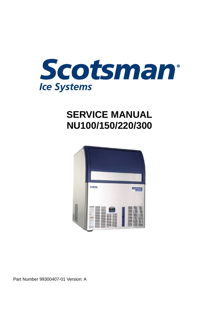

# **SERVICE MANUAL NU100/150/220/300**



Part Number 99300407-01 Version: A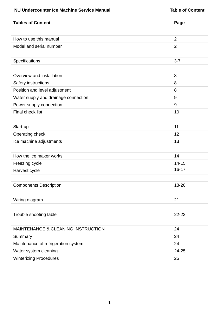#### **NU Undercounter Ice Machine Service Manual NU Understand Table of Contents**

| <b>Tables of Content</b>                      | Page           |
|-----------------------------------------------|----------------|
|                                               |                |
| How to use this manual                        | $\overline{2}$ |
| Model and serial number                       | $\overline{2}$ |
|                                               |                |
| Specifications                                | $3 - 7$        |
|                                               |                |
| Overview and installation                     | 8              |
| Safety instructions                           | 8              |
| Position and level adjustment                 | 8              |
| Water supply and drainage connection          | 9              |
| Power supply connection                       | 9              |
| Final check list                              | 10             |
|                                               |                |
| Start-up                                      | 11             |
| Operating check                               | 12             |
| Ice machine adjustments                       | 13             |
|                                               |                |
| How the ice maker works                       | 14             |
| Freezing cycle                                | $14 - 15$      |
| Harvest cycle                                 | $16 - 17$      |
|                                               |                |
| <b>Components Description</b>                 | 18-20          |
|                                               |                |
| Wiring diagram                                | 21             |
|                                               |                |
| Trouble shooting table                        | 22-23          |
|                                               |                |
| <b>MAINTENANCE &amp; CLEANING INSTRUCTION</b> | 24             |
| Summary                                       | 24             |
| Maintenance of refrigeration system           | 24             |
| Water system cleaning                         | 24-25          |
| <b>Winterizing Procedures</b>                 | 25             |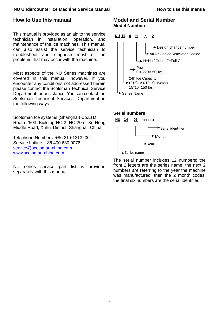#### **NU** Undercounter Ice Machine Service Manual **How to** use this manua

### **How to Use this manual**

This manual is provided as an aid to the service technician in installation, operation, and maintenance of the ice machines. This manual can also assist the service technician to troubleshoot and diagnose most of the problems that may occur with the machine.

Most aspects of the NU Series machines are covered in this manual, however, if you encounter any conditions not addressed herein, please contact the Scotsman Technical Service Department for assistance. You can contact the Scotsman Technical Services Department in the following ways:

Scotsman Ice systems (Shanghai) Co.LTD Room 2503, Building NO.2, NO.20 of Xu Hong Middle Road, Xuhui District, Shanghai, China

Telephone Numbers: +86 21 61313200 Service hotline: +86 400 630 0076 service@scotsman-china.com www.scotsman-china.com

NU series service part list is provided separately with this manual.

### **Model and Serial Number Model Numbers**



#### **Serial numbers**



The serial number includes 12 numbers; the front 2 letters are the series name, the next 2 numbers are referring to the year the machine was manufactured, then the 2 month codes, the final six numbers are the serial identifier.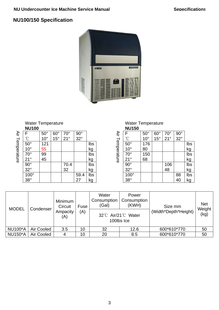## **NU100/150 Specification**



#### Water Temperature **NU100**

|                 | .                               |                 |              |              |                                 |                               |
|-----------------|---------------------------------|-----------------|--------------|--------------|---------------------------------|-------------------------------|
|                 |                                 | $50^\circ$      | $60^\circ$   | $70^{\circ}$ | $\frac{90^{\circ}}{32^{\circ}}$ |                               |
|                 | $\rm ^{\circ}C$                 | $10^{\circ}$    | $15^{\circ}$ | 21°          |                                 |                               |
| Air Temperature | $\frac{50^{\circ}}{10^{\circ}}$ | 121             |              |              |                                 | lbs                           |
|                 |                                 | 55              |              |              |                                 | <u>kg</u>                     |
|                 | $70^\circ$                      | $\frac{99}{45}$ |              |              |                                 |                               |
|                 | $21^{\circ}$                    |                 |              |              |                                 | lbs<br>kg<br>lbs<br>kg<br>lbs |
|                 | $\frac{90^{\circ}}{32^{\circ}}$ |                 |              | 70.4         |                                 |                               |
|                 |                                 |                 |              | 32           |                                 |                               |
|                 | $100^\circ$                     |                 |              |              | 59.4                            |                               |
|                 | $38^\circ$                      |                 |              |              | 27                              | kg                            |

Water Temperature

|                 | <b>NU150</b>    |                |              |              |                                 |           |
|-----------------|-----------------|----------------|--------------|--------------|---------------------------------|-----------|
|                 | F               |                | $60^\circ$   | $70^{\circ}$ | $\frac{90^{\circ}}{32^{\circ}}$ |           |
|                 | $\rm ^{\circ}C$ | $50^\circ$ 10° | $15^{\circ}$ | 21°          |                                 |           |
| Air Temperature | $50^\circ$      | 176            |              |              |                                 | Ibs       |
|                 | $10^{\circ}$    | 80             |              |              |                                 | kg<br>Ibs |
|                 | $70^\circ$      | 150            |              |              |                                 |           |
|                 | $21^{\circ}$    | 68             |              |              |                                 | kg        |
|                 | $90^\circ$      |                |              | 106          |                                 | lbs       |
|                 | $32^\circ$      |                |              | 48           |                                 | <u>kg</u> |
|                 | $100^\circ$     |                |              |              |                                 | Ibs       |
|                 | $38^\circ$      |                |              |              | 88<br>40                        | kg        |

| <b>MODEL</b>   | Condenser  | Minimum<br>Circuit | Fuse | Water<br>Consumption<br>(Gal)   | Power<br>Consumption<br>(KWH) | Size mm              | <b>Net</b><br>Weight |
|----------------|------------|--------------------|------|---------------------------------|-------------------------------|----------------------|----------------------|
|                |            | Ampacity<br>(A)    | (A)  | 32℃ Air/21℃ Water<br>100lbs Ice |                               | (Width*Depth*Height) | (kg)                 |
| <b>NU100*A</b> | Air Cooled | 3.5                | 10   | 32                              | 12.6                          | 600*610*770          | 50                   |
| <b>NU150*A</b> | Air Cooled |                    | 10   | 20                              | 8.5                           | 600*610*770          | 50                   |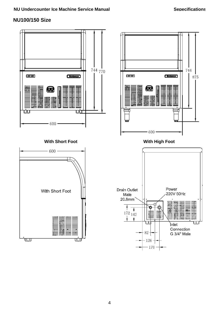## **NU100/150 Size**

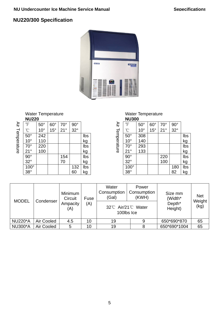## **NU220/300 Specification**



Water Temperature **NU220** 

|                 | $\,{}^{\circ}\!F$                | $50^\circ$   | $60^\circ$   | $70^{\circ}$ | $90^\circ$ |           |
|-----------------|----------------------------------|--------------|--------------|--------------|------------|-----------|
| Air Temperature | $\rm ^{\circ}C$                  | $10^{\circ}$ | $15^{\circ}$ | $21^{\circ}$ | $32^\circ$ |           |
|                 | $\frac{50^{\circ}}{10^{\circ}}$  | 242          |              |              |            | Ibs       |
|                 |                                  | 110          |              |              |            | <u>kg</u> |
|                 | $70^\circ$                       | 220          |              |              |            | Ibs       |
|                 | $21^{\circ}$                     | 100          |              |              |            | <u>kg</u> |
|                 | $90^\circ$                       |              |              | 154          |            | Ibs       |
|                 | $32^\circ$                       |              |              | 70           |            | <u>kg</u> |
|                 | $\frac{100^{\circ}}{38^{\circ}}$ |              |              |              | 132        | Ibs       |
|                 |                                  |              |              |              | 60         | kg        |

**NU300**  Air Temperature Air Temperature  $\sqrt[8]{15}$  50° 60° 70° 90° °C | 10° | 15° | 21° | 32° 50° 308 lbs<br>10° 140 kg 140 kg 70° 293<br>21° 133 kg 133 90° 220 lbs 32° 100 kg 100° | | | | | 180 lbs  $38^\circ$  | | | | | 82 | kg

Water Temperature

| <b>MODEL</b>   | Condenser  | Minimum<br>Circuit<br>Fuse |     | Water<br>Power<br>Consumption<br>Consumption<br>(Gal)<br>(KWH) |            | Size mm<br>(Width*            | <b>Net</b><br>Weight |
|----------------|------------|----------------------------|-----|----------------------------------------------------------------|------------|-------------------------------|----------------------|
|                |            | Ampacity<br>(A)            | (A) | 32℃ Air/21℃ Water                                              | 100lbs Ice | Depth <sup>*</sup><br>Height) | (kg)                 |
| <b>NU220*A</b> | Air Cooled | 4.5                        | 10  | 19                                                             | 9          | 650*690*870                   | 65                   |
| <b>NU300*A</b> | Air Cooled | 5                          | 10  | 19                                                             | 8          | 650*690*1004                  | 65                   |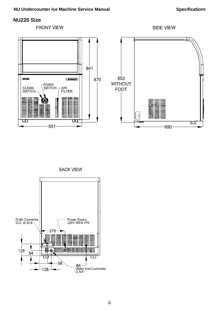#### **NU Undercounter Ice Machine Service Manual** *Specifications* Specifications

## **NU220 Size**



**BACK VIEW** 

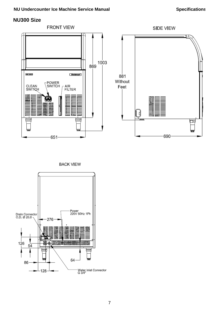## **NU300 Size**



**BACK VIEW** 

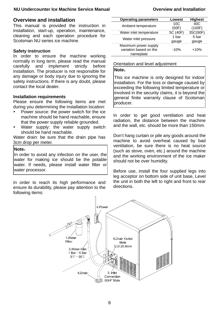#### **NU Undercounter Ice Machine Service Manual Overview and Installation**

### **Overview and installation**

This manual is provided the instruction in installation, start-up, operation, maintenance, cleaning and each operation procedure for Scotsman NU series ice machine.

#### **Safety instruction**

In order to ensure the machine working normally in long term, please read the manual carefully and implement strictly before installation. The producer is not responsible for any damage or body injury due to ignoring the safety instructions. If there is any doubt, please contact the local dealer.

#### **Installation requirements**

Please ensure the following items are met during you determining the installation location:

- Power source: the power switch for the ice machine should be hand reachable, ensure that the power supply reliable grounded.
- Water supply: the water supply switch should be hand reachable.

Water drain: be sure that the drain pipe has 3cm drop per meter.

#### **Note**:

In order to avoid any infection on the user, the water for making ice should be the potable water. If needs, please install water filter or water processor.

In order to reach its high performance and ensure its durability, please pay attention to the following items:

| <b>Operating parameters</b>                                 | Lowest   | <b>Highest</b> |
|-------------------------------------------------------------|----------|----------------|
| Ambient temperature                                         | 10C      | 40C            |
|                                                             | (50F)    | (100F)         |
| Water inlet temperature                                     | 5C (40F) | 35C(90F)       |
|                                                             | 1 bar    | 5 bar          |
| Water inlet pressure                                        | gauge    | gauge          |
| Maximum power supply<br>variation based on the<br>nameplate | $-10%$   | $+10%$         |

#### Orientation and level adjustment

#### **Note**:

This ice machine is only designed for indoor installation. For the loss or damage caused by exceeding the following limited temperature or involved in the security claims, it is beyond the general finite warranty clause of Scotsman producer.

In order to get good ventilation and heat radiation, the distance between the machine and the wall, etc. should be more than 150mm.

Don't hang curtain or pile any goods around the machine to avoid overheat caused by bad ventilation, be sure there is no heat source (such as stove, oven, etc.) around the machine and the working environment of the ice maker should not be over humidity.

Before use, install the four supplied legs into leg acceptor on bottom side of unit base, Level the unit in both the left to right and front to rear directions.

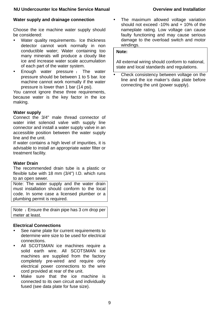### **Water supply and drainage connection**

Choose the ice machine water supply should be considered:

- Water quality requirements: Ice thickness detector cannot work normally in non conductible water; Water containing too many minerals will produce a cloudy like ice and increase water scale accumulation of each part of the water system.
- Enough water pressure : The water pressure should be between 1 to 5 bar. Ice machine cannot work normally if the water pressure is lower than 1 bar (14 psi).

You cannot ignore these three requirements, because water is the key factor in the ice making.

### **Water supply**

Connect the 3/4" male thread connector of water inlet solenoid valve with supply line connector and install a water supply valve in an accessible position between the water supply line and the unit.

If water contains a high level of impurities, it is advisable to install an appropriate water filter or treatment facility.

### **Water Drain**

The recommended drain tube is a plastic or flexible tube with 18 mm (3/4") I.D. which runs to an open sewer.

Note: The water supply and the water drain must installation should conform to the local code. In some case a licensed plumber or a plumbing permit is required.

Note: Ensure the drain pipe has 3 cm drop per meter at least.

## **Electrical Connections**

- See name plate for current requirements to determine wire size to be used for electrical connections.
- All SCOTSMAN ice machines require a solid earth wire. All SCOTSMAN ice machines are supplied from the factory completely pre-wired and require only electrical power connections to the wire cord provided at rear of the unit.
- Make sure that the ice machine is connected to its own circuit and individually fused (see data plate for fuse size).

The maximum allowed voltage variation should not exceed -10% and + 10% of the nameplate rating. Low voltage can cause faulty functioning and may cause serious damage to the overload switch and motor windings.

### **Note:**

All external wiring should conform to national, state and local standards and regulations.

Check consistency between voltage on the line and the ice maker's data plate before connecting the unit (power supply).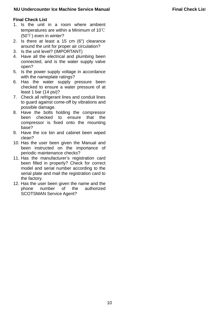#### **NU** Undercounter Ice Machine Service Manual **Final Check List**

#### **Final Check List**

- 1. Is the unit in a room where ambient temperatures are within a Minimum of 10℃ (50℉) even in winter?
- 2. Is there at least a 15 cm (6") clearance around the unit for proper air circulation?
- 3. Is the unit level? (IMPORTANT)
- 4. Have all the electrical and plumbing been connected, and is the water supply valve open?
- 5. Is the power supply voltage in accordance with the nameplate ratings?
- 6. Has the water supply pressure been checked to ensure a water pressure of at least 1 bar (14 psi)?
- 7. Check all refrigerant lines and conduit lines to guard against come-off by vibrations and possible damage.
- 8. Have the bolts holding the compressor been checked to ensure that the compressor is fixed onto the mounting base?
- 9. Have the ice bin and cabinet been wiped clean?
- 10. Has the user been given the Manual and been instructed on the importance of periodic maintenance checks?
- 11. Has the manufacturer's registration card been filled in properly? Check for correct model and serial number according to the serial plate and mail the registration card to the factory.
- 12. Has the user been given the name and the phone number of the authorized SCOTSMAN Service Agent?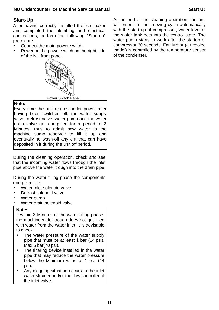#### **NU Undercounter Ice Machine Service Manual discussed and Start Up Start Up**

## **Start-Up**

After having correctly installed the ice maker and completed the plumbing and electrical connections, perform the following "Start-up" procedure.

- Connect the main power switch.
- Power on the power switch on the right side of the NU front panel.



#### **Note:**

Every time the unit returns under power after having been switched off, the water supply valve, defrost valve, water pump and the water drain valve get energized for a period of 3 Minutes, thus to admit new water to the machine sump reservoir to fill it up and eventually, to wash-off any dirt that can have deposited in it during the unit off period.

During the cleaning operation, check and see that the incoming water flows through the inlet pipe above the water trough into the drain pipe.

During the water filling phase the components energized are:

- Water inlet solenoid valve
- Defrost solenoid valve
- Water pump
- Water drain solenoid valve

#### **Note:**

If within 3 Minutes of the water filling phase, the machine water trough does not get filled with water from the water inlet, it is advisable to check:

- The water pressure of the water supply pipe that must be at least 1 bar (14 psi). Max 5 bar(70 psi).
- The filtering device installed in the water pipe that may reduce the water pressure below the Minimum value of 1 bar (14 psi).
- Any clogging situation occurs to the inlet water strainer and/or the flow controller of the inlet valve.

At the end of the cleaning operation, the unit will enter into the freezing cycle automatically with the start up of compressor; water level of the water tank gets into the control state. The water pump starts to work after the startup of compressor 30 seconds. Fan Motor (air cooled model) is controlled by the temperature sensor of the condenser.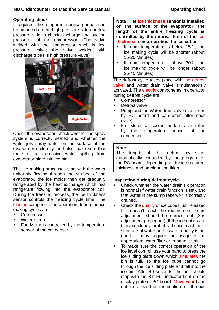#### **NU Undercounter Ice Machine Service Manual Check Constraining Check** Operating Check

#### **Operating check**

If required, the refrigerant service gauges can be mounted on the high pressure side and low pressure side to check discharge and suction pressures of the compressor. (The valve welded with the compressor shell is low pressure valve; the valve welded with discharge tubes is high pressure valve)



Check the evaporator, check whether the spray system is correctly seated and whether the water jets spray water on the surface of the evaporator uniformly, and also make sure that there is no excessive water spilling from evaporator plate into ice bin.

The ice making processes start with the water uniformly flowing through the surface of the evaporator, the ice molds then get gradually refrigerated by the heat exchange which has refrigerant flowing into the evaporator coil. During the freezing process, the ice thickness sensor controls the freezing cycle time. The electric components in operation during the ice making cycles are:

- **Compressor**
- Water pump
- Fan Motor is controlled by the temperature sensor of the condenser.

**Note: The ice thickness sensor is installed on the surface of the evaporator; the length of the entire freezing cycle is controlled by the interval time of the ice thickness sensor probes the ice cubes.** 

- If room temperature is below 15℃, the ice making cycle will be shorter (about 15-25 Minutes).
- If room temperature is above 30℃, the ice making cycle will be longer (about 25-40 Minutes).

The defrost cycle takes place with the defrost valve and water drain valve simultaneously activated. The electric components in operation during defrost cycle are:

- Compressor
- Defrost valve
- Pump and the Water drain valve (controlled by PC board and can drain after each cycle)
- Fan Motor (air cooled model) is controlled by the temperature sensor of the condenser.

#### **Note:**

The length of the defrost cycle is automatically controlled by the program of the PC board, depending on the ice required thickness and ambient condition.

#### **Inspection during defrost cycle**

- Check whether the water drain's operation is normal (if water drain function is set), and that water in the sump reservoir is correctly drained.
- Check the quality of ice cubes just released. If it doesn't reach the requirement, some adjustment should be carried out (See adjustment procedure). If the ice cubes are thin and cloudy, probably the ice machine is shortage of water or the water quality is not good. It may require the usage of an appropriate water filter or treatment unit.
- To make sure the correct operation of the ice level control, use your hand to press the ice sliding plate down which simulates the bin is full, so the ice cube cannot go through the ice sliding plate and fall into the ice bin. After 40 seconds, the unit should stop with the Bin Full indicator light on the display plate of PC board. Move your hand out to allow the resumption of the ice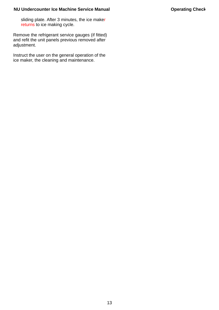sliding plate. After 3 minutes, the ice maker returns to ice making cycle.

Remove the refrigerant service gauges (if fitted) and refit the unit panels previous removed after adjustment.

Instruct the user on the general operation of the ice maker, the cleaning and maintenance.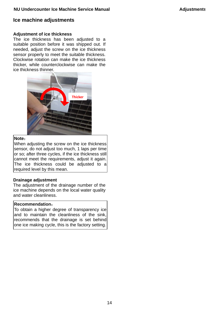### **Ice machine adjustments**

#### **Adjustment of ice thickness**

The ice thickness has been adjusted to a suitable position before it was shipped out. If needed, adjust the screw on the ice thickness sensor properly to meet the suitable thickness. Clockwise rotation can make the ice thickness thicker, while counterclockwise can make the ice thickness thinner.



#### **Note**:

When adjusting the screw on the ice thickness sensor, do not adjust too much, 1 laps per time or so; after three cycles, if the ice thickness still cannot meet the requirements, adjust it again. The ice thickness could be adjusted to a required level by this mean.

#### **Drainage adjustment**

The adjustment of the drainage number of the ice machine depends on the local water quality and water cleanliness.

#### **Recommendation**:

To obtain a higher degree of transparency ice and to maintain the cleanliness of the sink, recommends that the drainage is set behind one ice making cycle, this is the factory setting.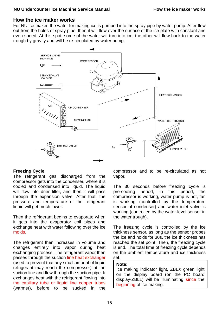### **NU Undercounter Ice Machine Service Manual The Communist Communist Communist Communist Communist Communist Communist Communist Communist Communist Communist Communist Communist Communist Communist Communist Communist Comm**

## **How the ice maker works**

For NU ice maker, the water for making ice is pumped into the spray pipe by water pump. After flew out from the holes of spray pipe, then it will flow over the surface of the ice plate with constant and even speed. At this spot, some of the water will turn into ice; the other will flow back to the water trough by gravity and will be re-circulated by water pump.



### **Freezing Cycle**

The refrigerant gas discharged from the compressor gets into the condenser, where it is cooled and condensed into liquid. The liquid will flow into drier filter, and then it will pass through the expansion valve. After that, the pressure and temperature of the refrigerant liquid will get much lower.

Then the refrigerant begins to evaporate when it gets into the evaporator coil pipes and exchange heat with water following over the ice molds.

The refrigerant then increases in volume and changes entirely into vapor during heat exchanging process. The refrigerant vapor then passes through the suction line heat exchanger (used to prevent that any small amount of liquid refrigerant may reach the compressor) at the suction line and flow through the suction pipe. It exchanges heat with the refrigerant flowing into the capillary tube or liquid line copper tubes (warmer), before to be sucked in the

compressor and to be re-circulated as hot vapor.

The 30 seconds before freezing cycle is pre-cooling period, in this period, the compressor is working, water pump is not, fan is working (controlled by the temperature sensor of condenser) and water inlet valve is working (controlled by the water-level sensor in the water trough).

The freezing cycle is controlled by the ice thickness sensor, as long as the sensor probes the ice and holds for 30s, the ice thickness has reached the set point. Then, the freezing cycle is end. The total time of freezing cycle depends on the ambient temperature and ice thickness set.

#### **Note:**

Ice making indicator light, ZBLX green light on the display board (on the PC board display-ZBL1) will be illuminating since the beginning of ice making.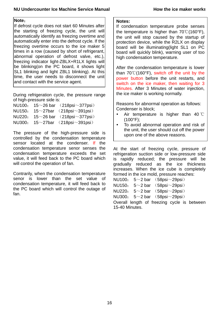#### **Note**:

If defrost cycle does not start 60 Minutes after the starting of freezing cycle, the unit will automatically identify as freezing overtime and automatically enter into the defrost cycle. If the freezing overtime occurs to the ice maker 5 times in a row (caused by short of refrigerant, abnormal operation of defrost valve, etc.), freezing indicator light-ZBLX+R1LX lights will be blinking(on the PC board, it shows light SL1 blinking and light ZBL1 blinking). At this time, the user needs to disconnect the unit and contact with the service agent.

During refrigeration cycle, the pressure range of high-pressure side is:

|        | NU100: $15~26 \text{ bar}$ (218psi $\sim$ 377psi) |
|--------|---------------------------------------------------|
|        | NU150: $15 \sim 27$ bar (218psi $\sim$ 391psi)    |
| NU220: | $15~26$ bar $(218)$ psi $\sim$ 377 psi            |
|        | NU300: $15 \sim 27$ bar (218psi $\sim$ 391psi)    |

The pressure of the high-pressure side is controlled by the condensation temperature sensor located at the condenser. If the condensation temperature senor senses the condensation temperature exceeds the set value, it will feed back to the PC board which will control the operation of fan.

Contrarily, when the condensation temperature senor is lower than the set value of condensation temperature, it will feed back to the PC board which will control the outage of fan.

#### **Notes:**

If condensation temperature probe senses the temperature is higher than 70℃(160°F), the unit will stop caused by the startup of protection device, while the R2LX on display board will be illuminating(light SL1 on PC board will quickly blink), warning user of too high condensation temperature.

After the condensation temperature is lower than 70℃(160°F), switch off the unit by the power button before the unit restarts, and switch on the ice maker, then waiting for 3 Minutes. After 3 Minutes of water injection, the ice maker is working normally.

Reasons for abnormal operation as follows: Condenser is block;

- Air temperature is higher than 40  $\degree$ C (100°F);
- To avoid abnormal operation and risk of the unit, the user should cut off the power upon one of the above reasons.

At the start of freezing cycle, pressure of refrigeration suction side or low-pressure side is rapidly reduced; the pressure will be gradually reduced as the ice thickness increases. When the ice cube is completely formed in the ice mold, pressure reaches: NU100: 5~2 bar (58psi~29psi)

NU150: 5~2 bar (58psi~29psi)

NU220:  $5~2$  bar  $(58$ psi $\sim$ 29psi)

NU300: 5~2 bar (58psi~29psi)

Overall length of freezing cycle is between 15-40 Minutes.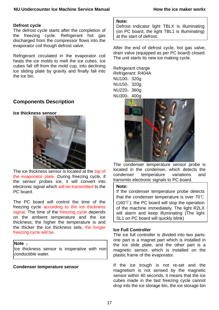#### **Defrost cycle**

The defrost cycle starts after the completion of the freezing cycle. Refrigerant hot gas discharged from the compressor flows into the evaporator coil though defrost valve.

Refrigerant circulated in the evaporator coil heats the ice molds to melt the ice cubes. Ice cubes fall off from the mold cup, into declining ice sliding plate by gravity and finally fall into the ice bin.

## **Components Description**

#### **Ice thickness sensor**



The ice thickness sensor is located at the top of the evaporator plate. During freezing cycle, if the sensor probes ice, it will convert into electronic signal which will be transmitted to the PC board.

The PC board will control the time of the freezing cycle according to the ice thickness signal. The time of the freezing cycle depends on the ambient temperature and the ice thickness; the higher the temperature is and the thicker the Ice thickness sets, the longer freezing cycle will be.

#### **Note** :

Ice thickness sensor is inoperative with non conductible water.

#### **Condenser temperature sensor**

#### **Note:**

Defrost indicator light TBLX is illuminating (on PC board, the light TBL1 is illuminating) at the start of defrost.

After the end of defrost cycle, hot gas valve, drain valve (equipped as per PC board) closed. The unit starts its new ice making cycle.

Refrigerant charge Refrigerant: R404A NU100: 320a NU150:320g NU220:360g NU300:400g



The condenser temperature sensor probe is located in the condenser, which detects the condenser temperature variations and transmits electronic signals to PC board.

#### **Note:**

If the condenser temperature probe detects that the condenser temperature is over 70℃ (160℉), the PC board will stop the operation of the machine immediately. The light R2LX will alarm and keep illuminating (The light SL1 on PC board will quickly blink)

#### **Ice Full Controller**

The ice full controller is divided into two parts: one part is a magnet part which is installed in the ice slide plate, and the other part is a magnetic sensor, which is installed on the plastic frame of the evaporator.

If the ice trough is not re-set and the magnetism is not sensed by the magnetic sensor within 40 seconds, it means that the ice cubes made in the last freezing cycle cannot drop into the ice storage bin, the ice storage bin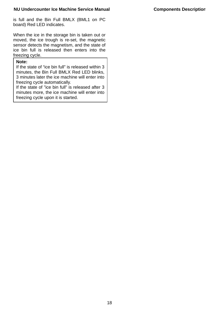is full and the Bin Full BMLX (BML1 on PC board) Red LED indicates.

When the ice in the storage bin is taken out or moved, the ice trough is re-set, the magnetic sensor detects the magnetism, and the state of ice bin full is released then enters into the freezing cycle.

#### **Note:**

If the state of "ice bin full" is released within 3 minutes, the Bin Full BMLX Red LED blinks, 3 minutes later the ice machine will enter into freezing cycle automatically.

If the state of "ice bin full" is released after 3 minutes more, the ice machine will enter into freezing cycle upon it is started.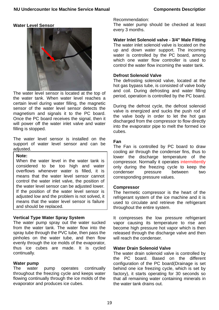#### **Water Level Sensor**



The water level sensor is located at the top of the water tank. When water level reaches a certain level during water filling, the magnetic sensor of the water level sensor detects the magnetism and signals it to the PC board. Once the PC board receives the signal, then it will power off the water inlet valve and water filling is stopped.

The water level sensor is installed on the support of water level sensor and can be adjusted.

#### **Note:**

When the water level in the water tank is considered to be too high and water overflows whenever water is filled, it is means that the water level sensor cannot control the water inlet valve, the position of the water level sensor can be adjusted lower. If the position of the water level sensor is adjusted low and the problem is not solved, it means that the water level sensor is failure and should be replaced.

#### **Vertical Type Water Spray System**

The water pump spray out the water sucked from the water tank. The water flow into the spray tube through the PVC tube, then pass the pinholes on the water tube, and then flow evenly through the ice molds of the evaporator, thus ice cubes are made. It is cycled continually.

#### **Water pump**

The water pump operates continually throughout the freezing cycle and keeps water flowing continually through the ice molds of the evaporator and produces ice cubes.

Recommendation:

The water pump should be checked at least every 3 months.

#### **Water Inlet Solenoid valve - 3/4" Male Fitting**

The water inlet solenoid valve is located on the up and down water support. The incoming water is controlled by the PC board, among which one water flow controller is used to control the water flow incoming the water tank.

#### **Defrost Solenoid Valve**

The defrosting solenoid valve, located at the hot gas bypass tube, is consisted of valve body and coil. During defrosting and water filling period, operation is controlled by the PC board.

During the defrost cycle, the defrost solenoid valve is energized and sucks the push rod of the valve body in order to let the hot gas discharged from the compressor to flow directly into the evaporator pipe to melt the formed ice cubes.

#### **Fan**

The Fan is controlled by PC board to draw cooling air through the condenser fins, thus to lower the discharge temperature of the compressor. Normally it operates intermittently only during the freezing cycle to keep the condenser pressure between two corresponding pressure values.

#### **Compressor**

The hermetic compressor is the heart of the refrigerant system of the ice machine and it is used to circulate and retrieve the refrigerant throughout the entire system.

It compresses the low pressure refrigerant vapor causing its temperature to rise and become high pressure hot vapor which is then released through the discharge valve and then will reach the condenser.

#### **Water Drain Solenoid Valve**

The water drain solenoid valve is controlled by the PC board. Based on the different configuration of the PC board(Drainage is set behind one ice freezing cycle, which is set by factory), it starts operating for 30 seconds so that all remaining water containing minerals in the water tank drains out.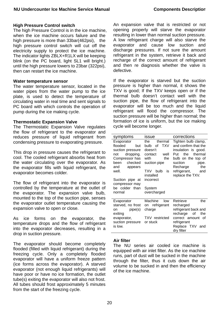#### **High Pressure Control switch**

The high Pressure Control is in the ice machine. when the ice machine occurs failure and the high pressure is more than 33bar(462psi), the high pressure control switch will cut off the electricity supply to protect the ice machine. The indicator lights ZBLX+R1LX will be keeping blink (on the PC board, light SL1 will bright.) until the high pressure lowers to 23bar (322psi), then can restart the ice machine.

#### **Water temperature sensor**

The water temperature sensor, located in the water pipes from the water pump to the ice plate, is used to detect the temperature of circulating water in real time and sent signals to PC board with which controls the operation of pump during the ice making cycle.

#### **Thermostatic Expansion Valve**

The Thermostatic Expansion Valve regulates the flow of refrigerant to the evaporator and reduces pressure of liquid refrigerant from condensing pressure to evaporating pressure.

This drop in pressure causes the refrigerant to cool. The cooled refrigerant absorbs heat from the water circulating over the evaporator. As the evaporator fills with liquid refrigerant, the evaporator becomes colder.

The flow of refrigerant into the evaporator is controlled by the temperature at the outlet of the evaporator. The expansion valve bulb, mounted to the top of the suction pipe, senses the evaporator outlet temperature causing the expansion valve to open or close.

As ice forms on the evaporator, the temperature drops and the flow of refrigerant into the evaporator decreases, resulting in a drop in suction pressure.

The evaporator should become completely flooded (filled with liquid refrigerant) during the freezing cycle. Only a completely flooded evaporator will have a uniform freeze pattern (ice forms across the evaporator). A starved evaporator (not enough liquid refrigerants) will have poor or have no ice formation, the outlet tube(s) exiting the evaporator will also not frost. All tubes should frost approximately 5 minutes from the start of the freezing cycle.

An expansion valve that is restricted or not opening properly will starve the evaporator resulting in lower than normal suction pressure. A low refrigerant charge will also starve the evaporator and cause low suction and discharge pressures. If not sure the amount refrigerant in the system, retrieve it back and recharge of the correct amount of refrigerant and then re diagnosis whether the valve is defective.

If the evaporator is starved but the suction pressure is higher than normal, it shows the TXV is good; If the TXV keeps open or if the thermal bulb doesn't contact well with the suction pipe, the flow of refrigerant into the evaporator will be too much and the liquid refrigerant will flood the compressor. The suction pressure will be higher than normal; the formation of ice is uniform, but the ice making cycle will become longer.

| symptoms          | issue                 | corrections           |
|-------------------|-----------------------|-----------------------|
| Evaporator        | the<br>thermal        | Tighten bulb clamp,   |
| flooded<br>but    | bulb of<br><b>TXV</b> | and confirm that the  |
| suction pressure  | doesn't               | insulation is good.   |
| dropping.<br>not  | contact<br>well       | thermal<br>the<br>Put |
| Compressor has    | with<br>the           | bulb on the top of    |
| been<br>checked   | suction pipe          | suction<br>pipe.      |
| and<br>appears    |                       | the<br>Recharge       |
| well.             | TXV.<br>bulb<br>is    | refrigerant,<br>and   |
|                   | installed             | replace the TXV.      |
| Suction pipe at   | incorrect             |                       |
| compressor may    |                       |                       |
| be colder than    | System                |                       |
| normal            | overcharged           |                       |
|                   |                       |                       |
| Evaporator        | Machine<br>low        | Retrieve<br>the       |
| starved, no frost | on refrigerant        | recharged             |
| on pipe(s)        | charge                | refrigerant back and  |
| exiting           |                       | recharge of<br>the    |
| evaporator,       | <b>TXV</b> restricted | correct amount of     |
| suction pressure  | or stuck              | refrigerant           |
| is low.           |                       | Replace TXV and       |
|                   |                       | dry filter            |

#### **Air filter**

The NU series air cooled ice machine is equipped with air inlet filter. As the ice machine runs, part of dust will be sucked in the machine through the filter, thus it cuts down the air volume to be sucked in and then the efficiency of the ice machine.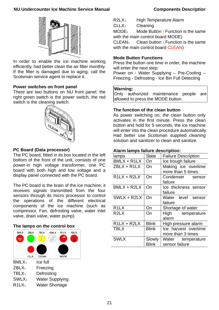#### **NU Undercounter Ice Machine Service Manual Components Description**



In order to enable the ice machine working efficiently, had better clean the air filter monthly. If the filter is damaged due to aging, call the Scotsman service agent to replace it.

#### **Power switches on front panel**

There are two buttons on NU front panel: the right green switch is the power switch, the red switch is the cleaning switch.



#### **PC Board (Data processor)**

The PC board, fitted in its box located in the left bottom of the front of the unit, consists of one power-in high voltage transformer, one PC board with both high and low voltage and a display panel connected with the PC board.

The PC board is the brain of the ice machine; it receives signals transmitted from the four sensors through its micro processor to control the operations of the different electrical components of the ice machine (such as compressor, Fan, defrosting valve, water inlet valve, drain valve, water pump).

#### **The lamps on the control box**

| <b>BMLX</b>        | <b>ZBLX</b> | <b>TBLX</b>            | <b>SWLX</b> | R <sub>1</sub> LX | R <sub>2</sub> LX |
|--------------------|-------------|------------------------|-------------|-------------------|-------------------|
| 100%               |             | 青春                     |             |                   |                   |
|                    |             |                        |             |                   |                   |
|                    | <b>CLLX</b> | <b>CLEAN</b>           |             | <b>MODE</b>       |                   |
| BMLX:              |             | Ice full               |             |                   |                   |
| ZBLX:              |             | Freezing               |             |                   |                   |
| TBLX:              |             | Defrosting             |             |                   |                   |
| SWLX:              |             | <b>Water Supplying</b> |             |                   |                   |
| R <sub>1</sub> LX: |             | <b>Water Shortage</b>  |             |                   |                   |

R2LX: High Temperature Alarm

CLLX: Cleaning

MODE: Mode Button (Function is the same with the main control board MODE)

CLEAN: Clean button (Function is the same with the main control board CLEAN)

#### **Mode Button Functions**

Press the button one time in order, the machine will enter the next step:

Power on - Water Supplying – Pre-Cooling – Freezing - Defrosting - Ice Bin Full Detecting

#### **Warning:**

Only authorized maintenance people are allowed to press the MODE button.

#### **The function of the clean button**

As power switching on, the clean button only activates in the first minute. Press the clean button and hold for 5 seconds, the ice machine will enter into the clean procedure automatically. Had better use Scotsman supplied cleaning solution and sanitizer to clean and sanitize.

#### **Alarm lamps failure description:**

| lamps                         | <b>State</b>           | <b>Failure Description</b>                |
|-------------------------------|------------------------|-------------------------------------------|
| $BMLX + R1LX$                 | On                     | Ice trough failure                        |
| $ZBLX + R1LX$                 | On                     | Making ice overtime<br>more than 5 times  |
| $R1LX + R2LX$                 | On                     | Condenser sensor<br>failure               |
| BMLX + R2LX                   | On                     | Ice thickness sensor<br>failure           |
| $SWLX + R2LX$                 | On                     | Water level sensor<br>failure             |
| R <sub>1</sub> L <sub>X</sub> | On                     | Shortage of water                         |
| R <sub>2</sub> L <sub>X</sub> | On                     | High temperature<br>alarm                 |
| $R1LX + R2LX$                 | <b>Blink</b>           | High pressure alarm                       |
| <b>TBLX</b>                   | <b>Blink</b>           | Ice harvest overtime<br>more than 3 times |
| <b>SWLX</b>                   | Slowly<br><b>Blink</b> | Water temperature<br>sensor failure       |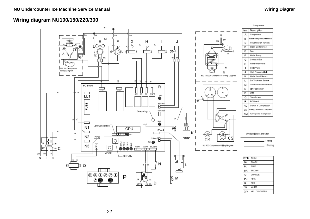## **Wiring diagram NU100/150/220/300**



22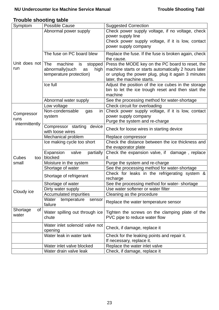## **Trouble shooting table**

| Symptom                | <b>Possible Cause</b>                  | <b>Suggested Correction</b>                                        |  |
|------------------------|----------------------------------------|--------------------------------------------------------------------|--|
|                        | Abnormal power supply                  | Check power supply voltage, if no voltage, check                   |  |
|                        |                                        | power supply line                                                  |  |
|                        |                                        | Check power supply voltage, if it is low, contact                  |  |
|                        |                                        | power supply company                                               |  |
|                        | The fuse on PC board blew              | Replace the fuse. If the fuse is broken again, check<br>the cause. |  |
| Unit does not          | <b>The</b><br>machine<br>stopped<br>is | Press the MODE key on the PC board to reset, the                   |  |
| run                    | abnormally(such<br>high<br>as          | machine starts or starts automatically 2 hours later               |  |
|                        | temperature protection)                | or unplug the power plug, plug it again 3 minutes                  |  |
|                        |                                        | later, the machine starts.                                         |  |
|                        | Ice full                               | Adjust the position of the ice cubes in the storage                |  |
|                        |                                        | bin to let the ice trough reset and then start the                 |  |
|                        |                                        | machine                                                            |  |
|                        | Abnormal water supply                  | See the processing method for water-shortage                       |  |
|                        | Low voltage                            | Check circuit for overloading                                      |  |
|                        | Non-condensable<br>in<br>gas           | Check power supply voltage, if it is low, contact                  |  |
| Compressor             | system                                 | power supply company                                               |  |
| runs<br>intermittently |                                        | Purge the system and re-charge                                     |  |
|                        | Compressor starting device             | Check for loose wires in starting device                           |  |
|                        | with loose wires                       |                                                                    |  |
|                        | Mechanical problem                     | Replace compressor                                                 |  |
|                        | Ice making cycle too short             | Check the distance between the ice thickness and                   |  |
|                        |                                        | the evaporator plate                                               |  |
|                        | Expansion<br>valve<br>partially        | Check the expansion valve, if damage, replace                      |  |
| Cubes<br>too l         | blocked                                |                                                                    |  |
| small                  | Moisture in the system                 | Purge the system and re-charge                                     |  |
|                        | Shortage of water                      | See the processing method for water-shortage                       |  |
|                        | Shortage of refrigerant                | Check for leaks in the refrigerating system &<br>recharge          |  |
|                        | Shortage of water                      | See the processing method for water-shortage                       |  |
| Cloudy ice             | Dirty water supply                     | Use water softener or water filter                                 |  |
|                        | <b>Accumulated impurities</b>          | Cleaning as the procedure                                          |  |
|                        | Water<br>temperature<br>sensor         | Replace the water temperature sensor                               |  |
|                        | failure                                |                                                                    |  |
| Shortage<br>οf         | Water spilling out through ice         | Tighten the screws on the clamping plate of the                    |  |
| water                  | chute                                  | PVC pipe to reduce water flow                                      |  |
|                        |                                        |                                                                    |  |
|                        | Water inlet solenoid valve not         | Check, if damage, replace it                                       |  |
|                        | opening                                |                                                                    |  |
|                        | Water leak in water tank               | Check for the leaking points and repair it.                        |  |
|                        |                                        | If necessary, replace it.                                          |  |
|                        | Water inlet valve blocked              | Replace the water inlet valve                                      |  |
|                        | Water drain valve leak                 | Check, if damage, replace it                                       |  |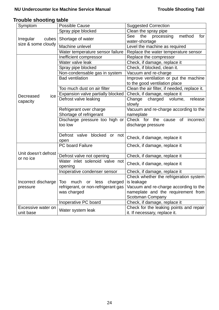## **Trouble shooting table**

| Symptom                                  | <b>Possible Cause</b>                     | <b>Suggested Correction</b>                                  |
|------------------------------------------|-------------------------------------------|--------------------------------------------------------------|
| Irregular<br>cubes<br>size & some cloudy | Spray pipe blocked                        | Clean the spray pipe                                         |
|                                          | Shortage of water                         | method<br>processing<br>for<br>See<br>the<br>water-shortage  |
|                                          | Machine unlevel                           | Level the machine as required                                |
|                                          | Water temperature sensor failure          | Replace the water temperature sensor                         |
| Decreased<br>ice<br>capacity             | Inefficient compressor                    | Replace the compressor                                       |
|                                          | Water valve leak                          | Check, if damage, replace it                                 |
|                                          | Spray pipe blocked                        | Check, if blocked, clean it.                                 |
|                                          | Non-condensable gas in system             | Vacuum and re-charge                                         |
|                                          | <b>Bad ventilation</b>                    | Improve ventilation or put the machine                       |
|                                          |                                           | to the good ventilation place                                |
|                                          | Too much dust on air filter               | Clean the air filter, if needed, replace it.                 |
|                                          | Expansion valve partially blocked         | Check, if damage, replace it                                 |
|                                          | Defrost valve leaking                     | charged volume,<br>Change<br>release                         |
|                                          |                                           | slowly                                                       |
|                                          | Refrigerant over charge                   | Vacuum and re-charge according to the                        |
|                                          | Shortage of refrigerant                   | nameplate                                                    |
|                                          | Discharge pressure too high or<br>too low | Check for the cause<br>of<br>incorrect<br>discharge pressure |
|                                          |                                           |                                                              |
|                                          | Defrost valve blocked<br>or not           |                                                              |
|                                          | open                                      | Check, if damage, replace it                                 |
| Unit doesn't defrost<br>or no ice        | PC board Failure                          | Check, if damage, replace it                                 |
|                                          |                                           |                                                              |
|                                          | Defrost valve not opening                 | Check, if damage, replace it                                 |
|                                          | Water inlet solenoid valve not            | Check, if damage, replace it                                 |
|                                          | opening                                   |                                                              |
| Incorrect discharge                      | Inoperative condenser sensor              | Check, if damage, replace it                                 |
|                                          |                                           | Check whether the refrigeration system                       |
|                                          | Too<br>much<br>less<br>charged<br>or      | is leakage                                                   |
| pressure                                 | refrigerant, or non-refrigerant gas       | Vacuum and re-charge according to the                        |
|                                          | was charged                               | nameplate and the requirement from                           |
|                                          |                                           | <b>Scotsman Company</b>                                      |
|                                          | Inoperative PC board                      | Check, if damage, replace it                                 |
| Excessive water on<br>unit base          | Water system leak                         | Check for the leaking points and repair                      |
|                                          |                                           | it. If necessary, replace it.                                |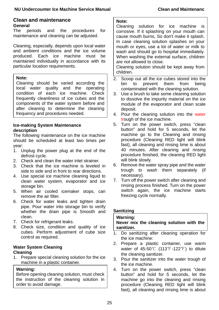### **Clean and maintenance General**

The periods and the procedures for maintenance and cleaning can be adjusted.

Cleaning, especially, depends upon local water and ambient conditions and the ice volume produced. Each ice machine must be maintained individually in accordance with its particular location requirements.

#### **Note:**

Cleaning should be varied according the local water quality and the operating condition of each ice machine. Check frequently cleanliness of ice cubes and the components of the water system before and after cleaning to determine the cleaning frequency and procedures needed.

#### **Ice-making System Maintenance description**

The following maintenance on the ice machine should be scheduled at least two times per year:

- 1. Unplug the power plug at the end of the defrost cycle.
- 2. Check and clean the water inlet strainer.
- 3. Check that the ice machine is leveled in side to side and in front to rear directions.
- 4. Use special ice machine cleaning liquid to clean water system, evaporator and ice storage bin.
- 5. When air cooled icemaker stops, can remove the air filter.
- 6. Check for water leaks and tighten drain pipe. Pour water into storage bin to verify whether the drain pipe is Smooth and clean.
- 7. Check for refrigerant leaks.
- 8. Check size, condition and quality of ice cubes. Perform adjustment of cube size control as required.

## **Water System Cleaning**

### **Cleaning**

1. Prepare special cleaning solution for the ice machine in a plastic container.

### **Warning:**

Before opening cleaning solution, must check the instruction of the cleaning solution in order to avoid damage.

#### **Note:**

Cleaning solution for ice machine is corrosive. If it splashing on your mouth can cause mouth burns, So don't make it splash. In case cleaning solution splashes on your mouth or eyes, use a lot of water or milk to wash and should go to hospital immediately. When washing the external surface, children are not allowed to close.

Cleaning solution should be kept away from children.

- 2. Scoop out all the ice cubes stored into the bin to prevent them from being contaminated with the cleaning solution.
- 3. Use a brush to take some cleaning solution to dissolve the impurity material on the ice module of the evaporator and clean scale deposit.
- 4. Pour the cleaning solution into the water trough of the ice machine.
- 5. Turn on the power switch, press "clean button" and hold for 5 seconds, let the machine go to the Cleaning and rinsing procedure (Cleaning RED light will blink fast), all cleaning and rinsing time is about 40 minutes. After cleaning and rinsing procedure finished, the cleaning RED light will blink slowly.
- 6. Remove the water spray pipe and the water trough to wash them separately (if necessary).
- 7. Turn off the power switch after cleaning and rinsing process finished. Turn on the power switch again, the ice machine starts freezing cycle normally.

## **Sanitizing**

#### **Warning:**

**Never mix the cleaning solution with the sanitizer.**

- 1. Do sanitizing after cleaning operation for the ice machine:
- 2. Prepare a plastic container, use warm water of 45-50℃ (113°F-122°F) to dilute the cleaning sanitizer.
- 3. Pour the sanitizer into the water trough of the ice machine.
- 4. Turn on the power switch, press "clean button" and hold for 5 seconds, let the machine go into the cleaning and rinsing procedure (Cleaning RED light will blink fast), all cleaning and rinsing time is about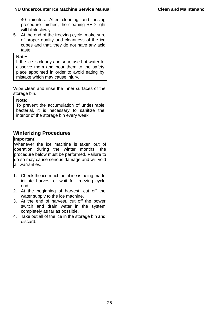#### **NU Undercounter Ice Machine Service Manual Clean and Maintenanc**

40 minutes. After cleaning and rinsing procedure finished, the cleaning RED light will blink slowly.

5. At the end of the freezing cycle, make sure of proper quality and cleanness of the ice cubes and that, they do not have any acid taste.

#### **Note:**

If the ice is cloudy and sour, use hot water to dissolve them and pour them to the safety place appointed in order to avoid eating by mistake which may cause injury.

Wipe clean and rinse the inner surfaces of the storage bin.

#### **Note:**

To prevent the accumulation of undesirable bacterial, it is necessary to sanitize the interior of the storage bin every week.

## **Winterizing Procedures**

#### **Important!**

Whenever the ice machine is taken out of operation during the winter months, the procedure below must be performed. Failure to do so may cause serious damage and will void all warranties.

- 1. Check the ice machine, if ice is being made, initiate harvest or wait for freezing cycle end.
- 2. At the beginning of harvest, cut off the water supply to the ice machine.
- 3. At the end of harvest, cut off the power switch and drain water in the system completely as far as possible.
- 4. Take out all of the ice in the storage bin and discard.